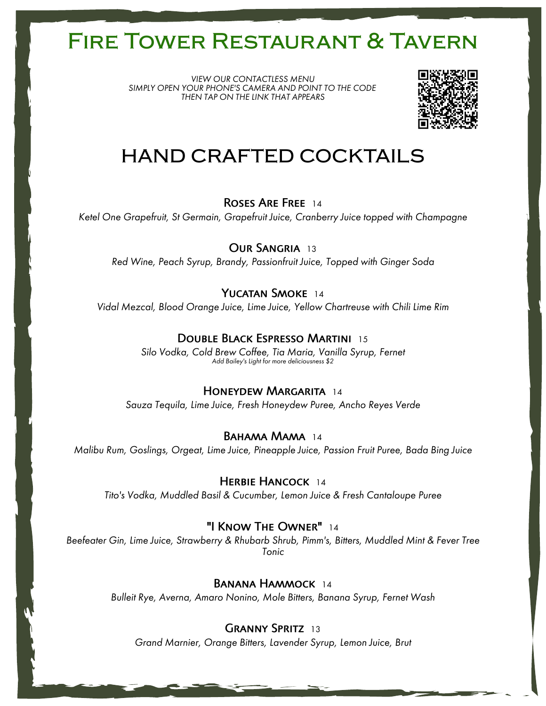*VIEW OUR CONTACTLESS MENU SIMPLY OPEN YOUR PHONE'S CAMERA AND POINT TO THE CODE THEN TAP ON THE LINK THAT APPEARS*



## **HAND CRAFTED COCKTAILS**

Roses Are Free 14

*Ketel One Grapefruit, St Germain, Grapefruit Juice, Cranberry Juice topped with Champagne*

OUR SANGRIA 13

*Red Wine, Peach Syrup, Brandy, Passionfruit Juice, Topped with Ginger Soda*

### YUCATAN SMOKE 14

*Vidal Mezcal, Blood Orange Juice, Lime Juice, Yellow Chartreuse with Chili Lime Rim*

### Double Black Espresso Martini 15

*Silo Vodka, Cold Brew Coffee, Tia Maria, Vanilla Syrup, Fernet Add Bailey's Light for more deliciousness \$2*

### Honeydew Margarita 14

*Sauza Tequila, Lime Juice, Fresh Honeydew Puree, Ancho Reyes Verde*

### BAHAMA MAMA 14

*Malibu Rum, Goslings, Orgeat, Lime Juice, Pineapple Juice, Passion Fruit Puree, Bada Bing Juice*

### HERBIE HANCOCK 14

*Tito's Vodka, Muddled Basil & Cucumber, Lemon Juice & Fresh Cantaloupe Puree*

### "I Know The Owner" 14

*Beefeater Gin, Lime Juice, Strawberry & Rhubarb Shrub, Pimm's, Bitters, Muddled Mint & Fever Tree Tonic*

### BANANA HAMMOCK 14

*Bulleit Rye, Averna, Amaro Nonino, Mole Bitters, Banana Syrup, Fernet Wash*

### GRANNY SPRITZ 13

*Grand Marnier, Orange Bitters, Lavender Syrup, Lemon Juice, Brut*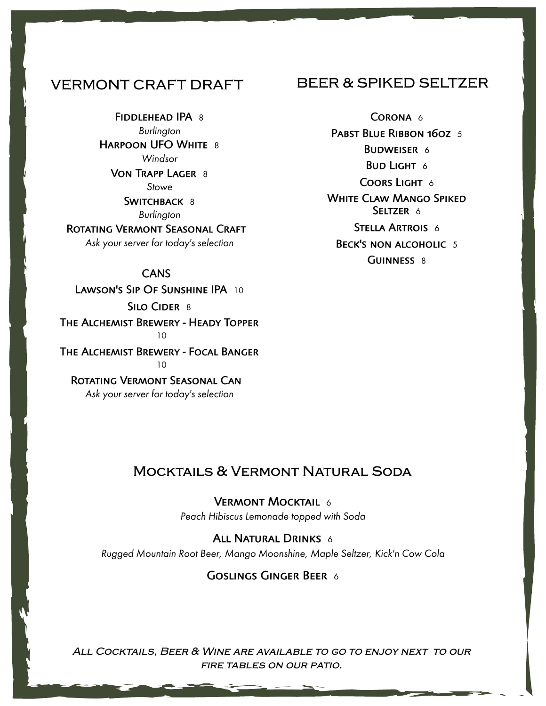### **VERMONT CRAFT DRAFT**

FIDDLEHEAD IPA 8 *Burlington* HARPOON UFO WHITE 8 *Windsor* Von Trapp Lager 8 *Stowe*

SWITCHBACK 8 *Burlington*

ROTATING VERMONT SEASONAL CRAFT

*Ask your server for today's selection*

### CANS

LAWSON'S SIP OF SUNSHINE IPA 10 SILO CIDER 8 The Alchemist Brewery - Heady Topper

10 The Alchemist Brewery - Focal Banger

 $1<sub>0</sub>$ 

Rotating Vermont Seasonal Can *Ask your server for today's selection*

### **BEER & SPIKED SELTZER**

CORONA 6 PABST BLUE RIBBON 160Z 5 BUDWEISER 6 **BUD LIGHT 6** COORS LIGHT 6 White Claw Mango Spiked SELTZER 6 STELLA ARTROIS 6 BECK'S NON ALCOHOLIC 5 GUINNESS 8

### **Mocktails & Vermont Natural Soda**

VERMONT MOCKTAIL 6 *Peach Hibiscus Lemonade topped with Soda*

ALL NATURAL DRINKS 6

*Rugged Mountain Root Beer, Mango Moonshine, Maple Seltzer, Kick'n Cow Cola*

Goslings Ginger Beer 6

*All Cocktails, Beer & Wine are available to go to enjoy next to our fire tables on our patio.*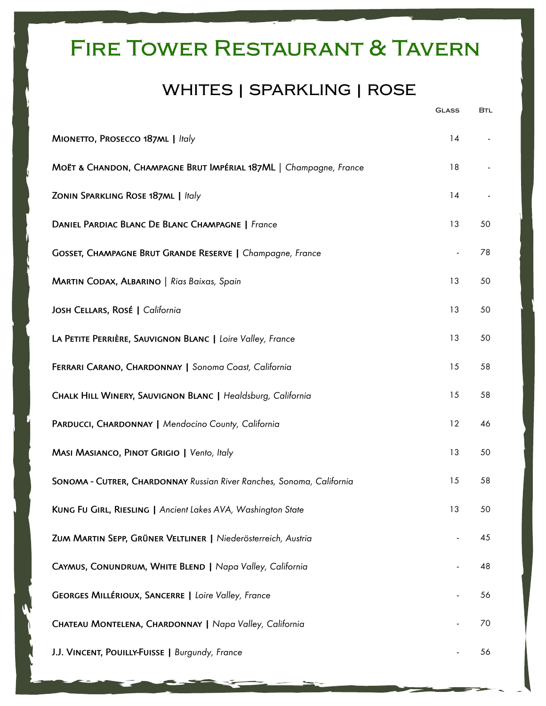## **WHITES | SPARKLING | ROSE**

|                                                                       | <b>GLASS</b>   | BTL |
|-----------------------------------------------------------------------|----------------|-----|
| MIONETTO, PROSECCO 187ML   Italy                                      | 14             |     |
| MOËT & CHANDON, CHAMPAGNE BRUT IMPÉRIAL 187ML   Champagne, France     | 18             |     |
| ZONIN SPARKLING ROSE 187ML   Italy                                    | 14             |     |
| DANIEL PARDIAC BLANC DE BLANC CHAMPAGNE   France                      | 13             | 50  |
| GOSSET, CHAMPAGNE BRUT GRANDE RESERVE   Champagne, France             | $\blacksquare$ | 78  |
| MARTIN CODAX, ALBARINO   Rias Baixas, Spain                           | 13             | 50  |
| JOSH CELLARS, ROSÉ   California                                       | 13             | 50  |
| LA PETITE PERRIÈRE, SAUVIGNON BLANC   Loire Valley, France            | 13             | 50  |
| FERRARI CARANO, CHARDONNAY   Sonoma Coast, California                 | 15             | 58  |
| CHALK HILL WINERY, SAUVIGNON BLANC   Healdsburg, California           | 15             | 58  |
| PARDUCCI, CHARDONNAY   Mendocino County, California                   | 12             | 46  |
| MASI MASIANCO, PINOT GRIGIO   Vento, Italy                            |                | 50  |
| SONOMA - CUTRER, CHARDONNAY Russian River Ranches, Sonoma, California | 15             | 58  |
| KUNG FU GIRL, RIESLING   Ancient Lakes AVA, Washington State          | 13             | 50  |
| ZUM MARTIN SEPP, GRÜNER VELTLINER   Niederösterreich, Austria         |                | 45  |
| CAYMUS, CONUNDRUM, WHITE BLEND   Napa Valley, California              |                | 48  |
| GEORGES MILLÉRIOUX, SANCERRE   Loire Valley, France                   |                | 56  |
| CHATEAU MONTELENA, CHARDONNAY   Napa Valley, California               |                | 70  |
| J.J. VINCENT, POUILLY-FUISSE   Burgundy, France                       |                | 56  |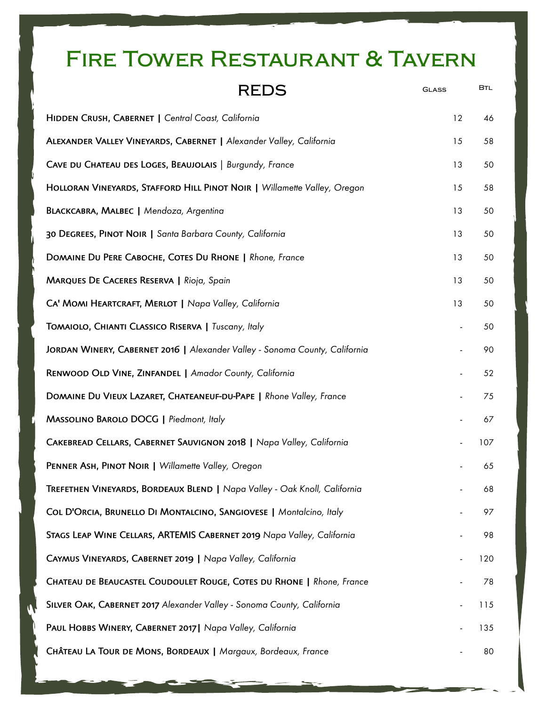| <b>REDS</b>                                                                 | <b>GLASS</b> | <b>BTL</b> |
|-----------------------------------------------------------------------------|--------------|------------|
| HIDDEN CRUSH, CABERNET   Central Coast, California                          | 12           | 46         |
| ALEXANDER VALLEY VINEYARDS, CABERNET   Alexander Valley, California         | 15           | 58         |
| CAVE DU CHATEAU DES LOGES, BEAUJOLAIS   Burgundy, France                    | 13           | 50         |
| HOLLORAN VINEYARDS, STAFFORD HILL PINOT NOIR   Willamette Valley, Oregon    | 15           | 58         |
| BLACKCABRA, MALBEC   Mendoza, Argentina                                     | 13           | 50         |
| 30 DEGREES, PINOT NOIR   Santa Barbara County, California                   | 13           | 50         |
| DOMAINE DU PERE CABOCHE, COTES DU RHONE   Rhone, France                     | 13           | 50         |
| <b>MARQUES DE CACERES RESERVA   Rioja, Spain</b>                            | 13           | 50         |
| CA' MOMI HEARTCRAFT, MERLOT   Napa Valley, California                       | 13           | 50         |
| TOMAIOLO, CHIANTI CLASSICO RISERVA   Tuscany, Italy                         |              | 50         |
| JORDAN WINERY, CABERNET 2016   Alexander Valley - Sonoma County, California |              | 90         |
| RENWOOD OLD VINE, ZINFANDEL   Amador County, California                     |              | 52         |
| DOMAINE DU VIEUX LAZARET, CHATEANEUF-DU-PAPE   Rhone Valley, France         |              | 75         |
| MASSOLINO BAROLO DOCG   Piedmont, Italy                                     |              | 67         |
| CAKEBREAD CELLARS, CABERNET SAUVIGNON 2018   Napa Valley, California        |              | 107        |
| PENNER ASH, PINOT NOIR   Willamette Valley, Oregon                          |              | 65         |
| TREFETHEN VINEYARDS, BORDEAUX BLEND   Napa Valley - Oak Knoll, California   |              | 68         |
| COL D'ORCIA, BRUNELLO DI MONTALCINO, SANGIOVESE   Montalcino, Italy         |              | 97         |
| STAGS LEAP WINE CELLARS, ARTEMIS CABERNET 2019 Napa Valley, California      |              | 98         |
| CAYMUS VINEYARDS, CABERNET 2019   Napa Valley, California                   |              | 120        |
| CHATEAU DE BEAUCASTEL COUDOULET ROUGE, COTES DU RHONE   Rhone, France       |              | 78         |
| SILVER OAK, CABERNET 2017 Alexander Valley - Sonoma County, California      |              | 115        |
| PAUL HOBBS WINERY, CABERNET 2017   Napa Valley, California                  |              | 135        |
| CHÂTEAU LA TOUR DE MONS, BORDEAUX   Margaux, Bordeaux, France               |              | 80         |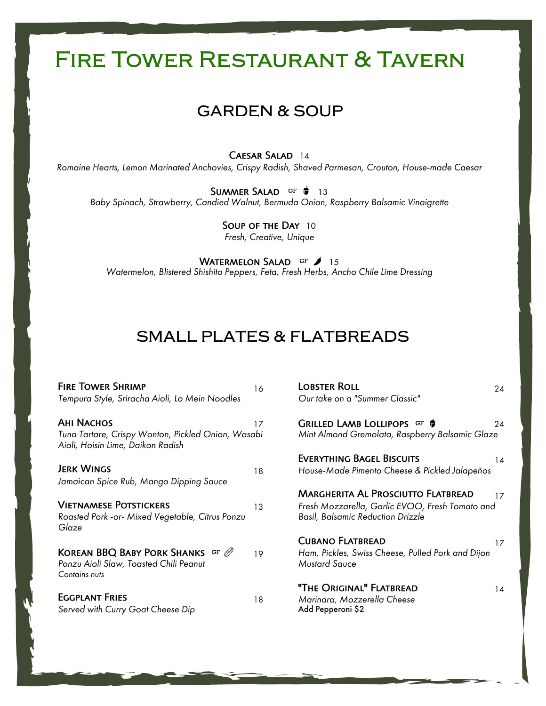## **GARDEN & SOUP**

Caesar Salad 14

*Romaine Hearts, Lemon Marinated Anchovies, Crispy Radish, Shaved Parmesan, Crouton, House-made Caesar*

SUMMER SALAD GF  $\phi$  13 *Baby Spinach, Strawberry, Candied Walnut, Bermuda Onion, Raspberry Balsamic Vinaigrette*

> SOUP OF THE DAY 10 *Fresh, Creative, Unique*

WATERMELON SALAD GF 15 *Watermelon, Blistered Shishito Peppers, Feta, Fresh Herbs, Ancho Chile Lime Dressing*

## **SMALL PLATES & FLATBREADS**

| <b>FIRE TOWER SHRIMP</b>                                                                           | 16 | <b>LOBSTER ROLL</b>                                                                         | 24 |
|----------------------------------------------------------------------------------------------------|----|---------------------------------------------------------------------------------------------|----|
| Tempura Style, Sriracha Aioli, Lo Mein Noodles                                                     |    | Our take on a "Summer Classic"                                                              |    |
| <b>AHI NACHOS</b>                                                                                  | 17 | GRILLED LAMB LOLLIPOPS GF                                                                   | 24 |
| Tuna Tartare, Crispy Wonton, Pickled Onion, Wasabi<br>Aioli, Hoisin Lime, Daikon Radish            |    | Mint Almond Gremolata, Raspberry Balsamic Glaze                                             |    |
|                                                                                                    |    | <b>EVERYTHING BAGEL BISCUITS</b>                                                            | 14 |
| <b>JERK WINGS</b>                                                                                  | 18 | House-Made Pimento Cheese & Pickled Jalapeños                                               |    |
| Jamaican Spice Rub, Mango Dipping Sauce                                                            |    |                                                                                             |    |
|                                                                                                    |    | <b>MARGHERITA AL PROSCIUTTO FLATBREAD</b>                                                   | 17 |
| <b>VIETNAMESE POTSTICKERS</b><br>Roasted Pork -or- Mixed Vegetable, Citrus Ponzu<br>Glaze          | 13 | Fresh Mozzarella, Garlic EVOO, Fresh Tomato and<br><b>Basil, Balsamic Reduction Drizzle</b> |    |
|                                                                                                    |    | <b>CUBANO FLATBREAD</b>                                                                     | 17 |
| <b>KOREAN BBQ BABY PORK SHANKS GF @</b><br>Ponzu Aioli Slaw, Toasted Chili Peanut<br>Contains nuts | 19 | Ham, Pickles, Swiss Cheese, Pulled Pork and Dijon<br><b>Mustard Sauce</b>                   |    |
| <b>EGGPLANT FRIES</b><br>Served with Curry Goat Cheese Dip                                         | 18 | "THE ORIGINAL" FLATBREAD<br>Marinara, Mozzerella Cheese<br>Add Pepperoni \$2                | 14 |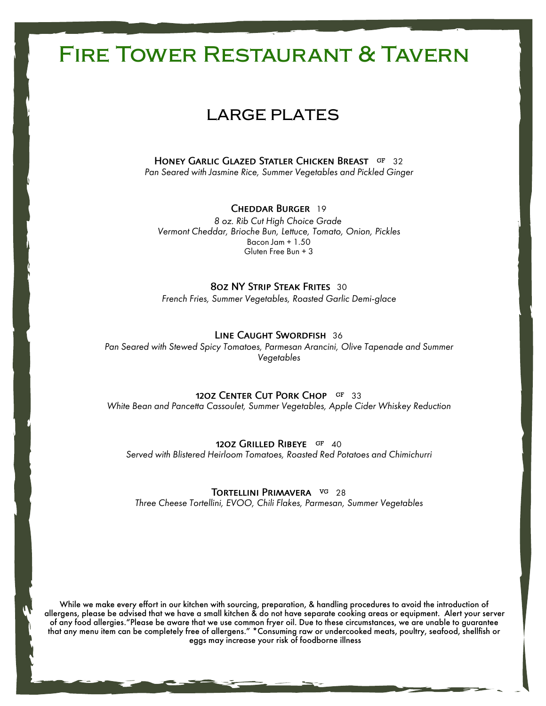## **LARGE PLATES**

HONEY GARLIC GLAZED STATLER CHICKEN BREAST GF 32 *Pan Seared with Jasmine Rice, Summer Vegetables and Pickled Ginger*

#### Cheddar Burger 19

*8 oz. Rib Cut High Choice Grade Vermont Cheddar, Brioche Bun, Lettuce, Tomato, Onion, Pickles* Bacon Jam + 1.50 Gluten Free Bun + 3

### 8oz NY Strip Steak Frites 30

*French Fries, Summer Vegetables, Roasted Garlic Demi-glace*

### Line Caught Swordfish 36

*Pan Seared with Stewed Spicy Tomatoes, Parmesan Arancini, Olive Tapenade and Summer Vegetables*

#### 12OZ CENTER CUT PORK CHOP GF 33

*White Bean and Pancetta Cassoulet, Summer Vegetables, Apple Cider Whiskey Reduction*

#### 12OZ GRILLED RIBEYE GF 40

*Served with Blistered Heirloom Tomatoes, Roasted Red Potatoes and Chimichurri*

### TORTFILINI PRIMAVERA VG 28

*Three Cheese Tortellini, EVOO, Chili Flakes, Parmesan, Summer Vegetables*

While we make every effort in our kitchen with sourcing, preparation, & handling procedures to avoid the introduction of allergens, please be advised that we have a small kitchen & do not have separate cooking areas or equipment. Alert your server of any food allergies."Please be aware that we use common fryer oil. Due to these circumstances, we are unable to guarantee that any menu item can be completely free of allergens." \*Consuming raw or undercooked meats, poultry, seafood, shellfish or eggs may increase your risk of foodborne illness